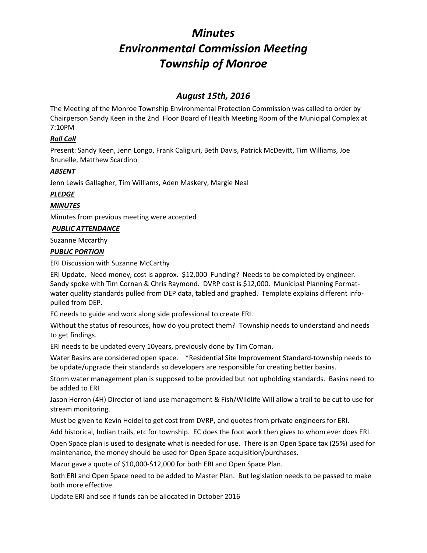# *Minutes Environmental Commission Meeting Township of Monroe*

# *August 15th, 2016*

The Meeting of the Monroe Township Environmental Protection Commission was called to order by Chairperson Sandy Keen in the 2nd Floor Board of Health Meeting Room of the Municipal Complex at 7:10PM

# *Roll Call*

Present: Sandy Keen, Jenn Longo, Frank Caligiuri, Beth Davis, Patrick McDevitt, Tim Williams, Joe Brunelle, Matthew Scardino

# *ABSENT*

Jenn Lewis Gallagher, Tim Williams, Aden Maskery, Margie Neal

# *PLEDGE*

# *MINUTES*

Minutes from previous meeting were accepted

### *PUBLIC ATTENDANCE*

### Suzanne Mccarthy

### *PUBLIC PORTION*

ERI Discussion with Suzanne McCarthy

ERI Update. Need money, cost is approx. \$12,000 Funding? Needs to be completed by engineer. Sandy spoke with Tim Cornan & Chris Raymond. DVRP cost is \$12,000. Municipal Planning Format‐ water quality standards pulled from DEP data, tabled and graphed. Template explains different infopulled from DEP.

EC needs to guide and work along side professional to create ERI.

Without the status of resources, how do you protect them? Township needs to understand and needs to get findings.

ERI needs to be updated every 10years, previously done by Tim Cornan.

Water Basins are considered open space. \*Residential Site Improvement Standard-township needs to be update/upgrade their standards so developers are responsible for creating better basins.

Storm water management plan is supposed to be provided but not upholding standards. Basins need to be added to ERI

Jason Herron (4H) Director of land use management & Fish/Wildlife Will allow a trail to be cut to use for stream monitoring.

Must be given to Kevin Heidel to get cost from DVRP, and quotes from private engineers for ERI.

Add historical, Indian trails, etc for township. EC does the foot work then gives to whom ever does ERI.

Open Space plan is used to designate what is needed for use. There is an Open Space tax (25%) used for maintenance, the money should be used for Open Space acquisition/purchases.

Mazur gave a quote of \$10,000‐\$12,000 for both ERI and Open Space Plan.

Both ERI and Open Space need to be added to Master Plan. But legislation needs to be passed to make both more effective.

Update ERI and see if funds can be allocated in October 2016